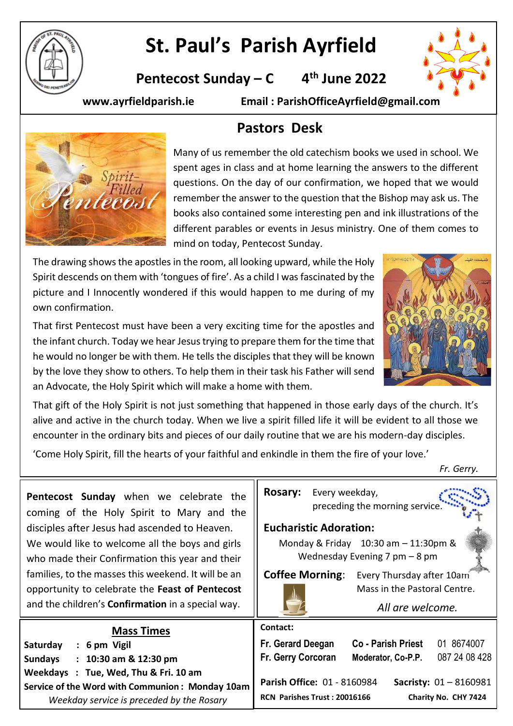

# **St. Paul's Parish Ayrfield**

**Pentecost Sunday – C 4 th June 2022**



**www.ayrfieldparish.ie Email : ParishOfficeAyrfield@gmail.com**



# **Pastors Desk**

Many of us remember the old catechism books we used in school. We spent ages in class and at home learning the answers to the different questions. On the day of our confirmation, we hoped that we would remember the answer to the question that the Bishop may ask us. The books also contained some interesting pen and ink illustrations of the different parables or events in Jesus ministry. One of them comes to mind on today, Pentecost Sunday.

The drawing shows the apostles in the room, all looking upward, while the Holy Spirit descends on them with 'tongues of fire'. As a child I was fascinated by the picture and I Innocently wondered if this would happen to me during of my own confirmation.

That first Pentecost must have been a very exciting time for the apostles and the infant church. Today we hear Jesus trying to prepare them for the time that he would no longer be with them. He tells the disciples that they will be known by the love they show to others. To help them in their task his Father will send an Advocate, the Holy Spirit which will make a home with them.

That gift of the Holy Spirit is not just something that happened in those early days of the church. It's alive and active in the church today. When we live a spirit filled life it will be evident to all those we encounter in the ordinary bits and pieces of our daily routine that we are his modern-day disciples.

'Come Holy Spirit, fill the hearts of your faithful and enkindle in them the fire of your love.'

*Fr. Gerry.*

| Pentecost Sunday when we celebrate the<br>coming of the Holy Spirit to Mary and the                                                                                | <b>Rosary:</b><br>Every weekday,<br>preceding the morning service.                                                                    |  |
|--------------------------------------------------------------------------------------------------------------------------------------------------------------------|---------------------------------------------------------------------------------------------------------------------------------------|--|
| disciples after Jesus had ascended to Heaven.<br>We would like to welcome all the boys and girls<br>who made their Confirmation this year and their                | <b>Eucharistic Adoration:</b><br>Monday & Friday 10:30 am - 11:30pm &<br>Wednesday Evening 7 pm $-8$ pm                               |  |
| families, to the masses this weekend. It will be an<br>opportunity to celebrate the Feast of Pentecost<br>and the children's <b>Confirmation</b> in a special way. | <b>Coffee Morning:</b><br>Every Thursday after 10am<br>Mass in the Pastoral Centre.<br>All are welcome.                               |  |
| <b>Mass Times</b><br>Saturday<br>$: 6 \text{ pm}$ Vigil<br>$: 10:30$ am & 12:30 pm<br><b>Sundays</b><br>Weekdays : Tue, Wed, Thu & Fri. 10 am                      | Contact:<br>01 8674007<br>Fr. Gerard Deegan<br><b>Co - Parish Priest</b><br>087 24 08 428<br>Fr. Gerry Corcoran<br>Moderator, Co-P.P. |  |
| Service of the Word with Communion: Monday 10am<br>Weekday service is preceded by the Rosary                                                                       | Parish Office: 01 - 8160984<br><b>Sacristy:</b> $01 - 8160981$<br>Charity No. CHY 7424<br>RCN Parishes Trust: 20016166                |  |